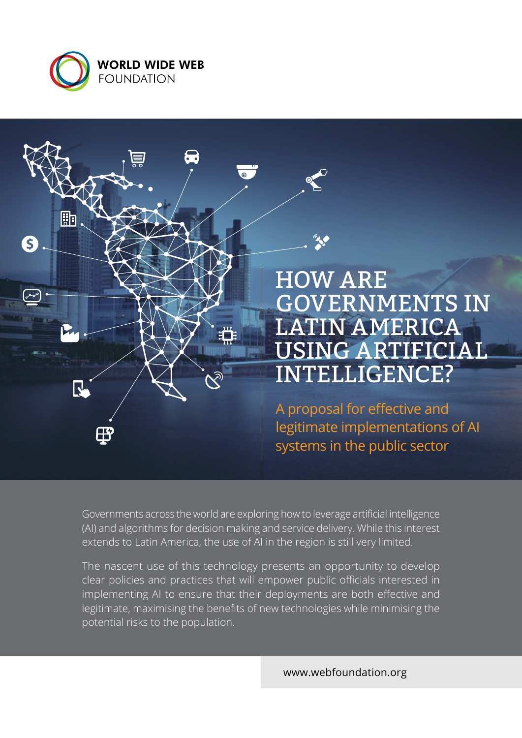



HOW ARE GOVERNMENTS IN LATIN AMERICA USING ARTIFICIAL INTELLIGENCE?

A proposal for effective and legitimate implementations of AI systems in the public sector

Governments across the world are exploring how to leverage artificial intelligence (AI) and algorithms for decision making and service delivery. While this interest extends to Latin America, the use of AI in the region is still very limited.

The nascent use of this technology presents an opportunity to develop clear policies and practices that will empower public officials interested in implementing AI to ensure that their deployments are both effective and legitimate, maximising the benefits of new technologies while minimising the potential risks to the population.

[www.webfoundation.org](http://www.webfoundation.org)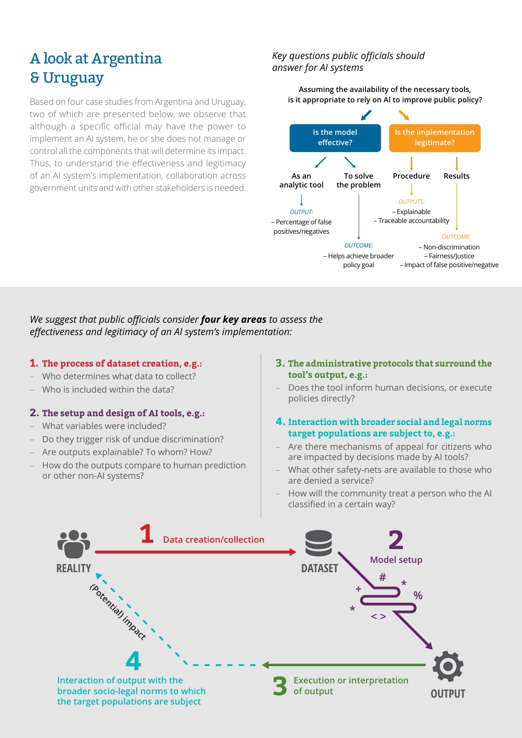# A look at Argentina & Uruguay

Based on four case studies from Argentina and Uruguay, two of which are presented below, we observe that although a specific official may have the power to implement an AI system, he or she does not manage or control all the components that will determine its impact. Thus, to understand the effectiveness and legitimacy of an AI system's implementation, collaboration across government units and with other stakeholders is needed.

## *Key questions public officials should answer for AI systems*

**Assuming the availability of the necessary tools, is it appropriate to rely on AI to improve public policy?**



### *We suggest that public officials consider four key areas to assess the effectiveness and legitimacy of an AI system's implementation:*

#### **1. The process of dataset creation, e.g.:**

- Who determines what data to collect?
- Who is included within the data?

### **2. The setup and design of AI tools, e.g.:**

- What variables were included?
- Do they trigger risk of undue discrimination?
- Are outputs explainable? To whom? How?
- How do the outputs compare to human prediction or other non-AI systems?
- **3. The administrative protocols that surround the tool's output, e.g.:**
- Does the tool inform human decisions, or execute policies directly?

### **4. Interaction with broader social and legal norms target populations are subject to, e.g.:**

- Are there mechanisms of appeal for citizens who are impacted by decisions made by AI tools?
- What other safety-nets are available to those who are denied a service?
- How will the community treat a person who the AI classified in a certain way?

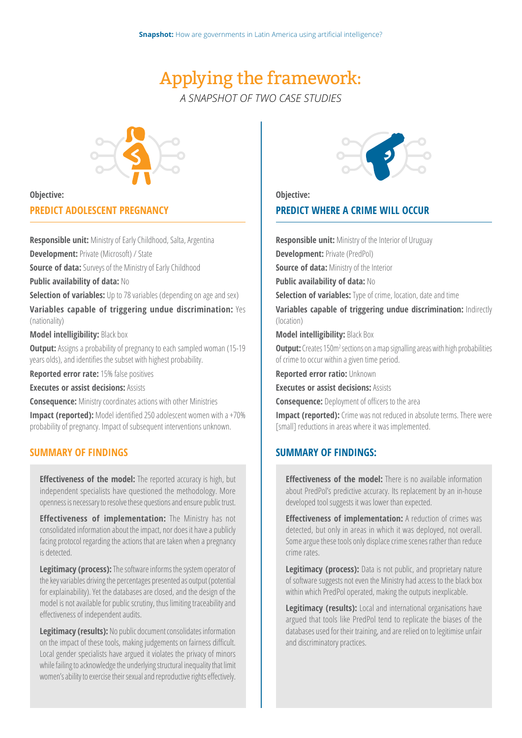# Applying the framework: *A SNAPSHOT OF TWO CASE STUDIES*



#### **Objective:**

#### **PREDICT ADOLESCENT PREGNANCY**

**Responsible unit:** Ministry of Early Childhood, Salta, Argentina

**Development:** Private (Microsoft) / State

**Source of data:** Surveys of the Ministry of Early Childhood

**Public availability of data:** No

**Selection of variables:** Up to 78 variables (depending on age and sex)

**Variables capable of triggering undue discrimination:** Yes (nationality)

**Model intelligibility:** Black box

**Output:** Assigns a probability of pregnancy to each sampled woman (15-19) years olds), and identifies the subset with highest probability.

**Reported error rate:** 15% false positives

**Executes or assist decisions:** Assists

**Consequence:** Ministry coordinates actions with other Ministries

**Impact (reported):** Model identified 250 adolescent women with a +70% probability of pregnancy. Impact of subsequent interventions unknown.

### **SUMMARY OF FINDINGS**

**Effectiveness of the model:** The reported accuracy is high, but independent specialists have questioned the methodology. More openness is necessary to resolve these questions and ensure public trust.

**Effectiveness of implementation:** The Ministry has not consolidated information about the impact, nor does it have a publicly facing protocol regarding the actions that are taken when a pregnancy is detected.

**Legitimacy (process):** The software informs the system operator of the key variables driving the percentages presented as output (potential for explainability). Yet the databases are closed, and the design of the model is not available for public scrutiny, thus limiting traceability and effectiveness of independent audits.

**Legitimacy (results):** No public document consolidates information on the impact of these tools, making judgements on fairness difficult. Local gender specialists have argued it violates the privacy of minors while failing to acknowledge the underlying structural inequality that limit women's ability to exercise their sexual and reproductive rights effectively.



**Objective:**

### **PREDICT WHERE A CRIME WILL OCCUR**

**Responsible unit:** Ministry of the Interior of Uruguay **Development:** Private (PredPol) **Source of data: Ministry of the Interior Public availability of data:** No **Selection of variables:** Type of crime, location, date and time **Variables capable of triggering undue discrimination:** Indirectly (location) **Model intelligibility:** Black Box **Output:** Creates 150m<sup>2</sup> sections on a map signalling areas with high probabilities

of crime to occur within a given time period.

**Reported error ratio:** Unknown

**Executes or assist decisions:** Assists

**Consequence:** Deployment of officers to the area

**Impact (reported):** Crime was not reduced in absolute terms. There were [small] reductions in areas where it was implemented.

### **SUMMARY OF FINDINGS:**

**Effectiveness of the model:** There is no available information about PredPol's predictive accuracy. Its replacement by an in-house developed tool suggests it was lower than expected.

**Effectiveness of implementation:** A reduction of crimes was detected, but only in areas in which it was deployed, not overall. Some argue these tools only displace crime scenes rather than reduce crime rates.

**Legitimacy (process):** Data is not public, and proprietary nature of software suggests not even the Ministry had access to the black box within which PredPol operated, making the outputs inexplicable.

**Legitimacy (results):** Local and international organisations have argued that tools like PredPol tend to replicate the biases of the databases used for their training, and are relied on to legitimise unfair and discriminatory practices.